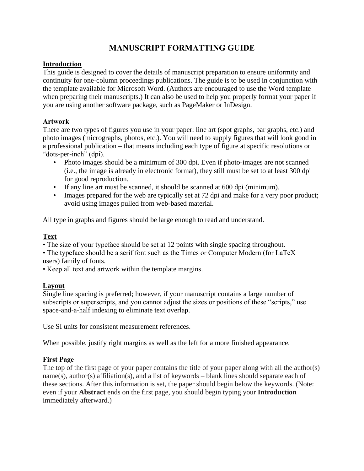# **MANUSCRIPT FORMATTING GUIDE**

### **Introduction**

This guide is designed to cover the details of manuscript preparation to ensure uniformity and continuity for one-column proceedings publications. The guide is to be used in conjunction with the template available for Microsoft Word. (Authors are encouraged to use the Word template when preparing their manuscripts.) It can also be used to help you properly format your paper if you are using another software package, such as PageMaker or InDesign.

### **Artwork**

There are two types of figures you use in your paper: line art (spot graphs, bar graphs, etc.) and photo images (micrographs, photos, etc.). You will need to supply figures that will look good in a professional publication – that means including each type of figure at specific resolutions or "dots-per-inch" (dpi).

- Photo images should be a minimum of 300 dpi. Even if photo-images are not scanned (i.e., the image is already in electronic format), they still must be set to at least 300 dpi for good reproduction.
- If any line art must be scanned, it should be scanned at 600 dpi (minimum).
- Images prepared for the web are typically set at 72 dpi and make for a very poor product; avoid using images pulled from web-based material.

All type in graphs and figures should be large enough to read and understand.

## **Text**

• The size of your typeface should be set at 12 points with single spacing throughout.

• The typeface should be a serif font such as the Times or Computer Modern (for LaTeX users) family of fonts.

• Keep all text and artwork within the template margins.

### **Layout**

Single line spacing is preferred; however, if your manuscript contains a large number of subscripts or superscripts, and you cannot adjust the sizes or positions of these "scripts," use space-and-a-half indexing to eliminate text overlap.

Use SI units for consistent measurement references.

When possible, justify right margins as well as the left for a more finished appearance.

## **First Page**

The top of the first page of your paper contains the title of your paper along with all the author(s) name(s), author(s) affiliation(s), and a list of keywords – blank lines should separate each of these sections. After this information is set, the paper should begin below the keywords. (Note: even if your **Abstract** ends on the first page, you should begin typing your **Introduction** immediately afterward.)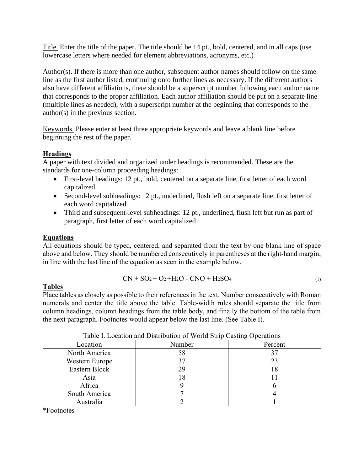Title. Enter the title of the paper. The title should be 14 pt., bold, centered, and in all caps (use lowercase letters where needed for element abbreviations, acronyms, etc.)

Author(s). If there is more than one author, subsequent author names should follow on the same line as the first author listed, continuing onto further lines as necessary. If the different authors also have different affiliations, there should be a superscript number following each author name that corresponds to the proper affiliation. Each author affiliation should be put on a separate line (multiple lines as needed), with a superscript number at the beginning that corresponds to the author(s) in the previous section.

Keywords. Please enter at least three appropriate keywords and leave a blank line before beginning the rest of the paper.

### **Headings**

A paper with text divided and organized under headings is recommended. These are the standards for one-column proceeding headings:

- First-level headings: 12 pt., bold, centered on a separate line, first letter of each word capitalized
- Second-level subheadings: 12 pt., underlined, flush left on a separate line, first letter of each word capitalized
- Third and subsequent-level subheadings: 12 pt., underlined, flush left but run as part of paragraph, first letter of each word capitalized

### **Equations**

All equations should be typed, centered, and separated from the text by one blank line of space above and below. They should be numbered consecutively in parentheses at the right-hand margin, in line with the last line of the equation as seen in the example below.

$$
CN + SO2 + O2 + H2O - CNO + H2SO4
$$
 (1)

### **Tables**

Place tables as closely as possible to their referencesin the text. Number consecutively with Roman numerals and center the title above the table. Table-width rules should separate the title from column headings, column headings from the table body, and finally the bottom of the table from the next paragraph. Footnotes would appear below the last line. (See Table I).

| Twie I. Boeanon and Bistribution of World Strip Casting Operations |        |         |  |  |  |
|--------------------------------------------------------------------|--------|---------|--|--|--|
| Location                                                           | Number | Percent |  |  |  |
| North America                                                      | 58     |         |  |  |  |
| Western Europe                                                     |        | 23      |  |  |  |
| Eastern Block                                                      | 29     | 18      |  |  |  |
| Asia                                                               | l 8    |         |  |  |  |
| Africa                                                             |        |         |  |  |  |
| South America                                                      |        |         |  |  |  |
| Australia                                                          |        |         |  |  |  |

| Table I. Location and Distribution of World Strip Casting Operations |  |  |
|----------------------------------------------------------------------|--|--|
|                                                                      |  |  |

\*Footnotes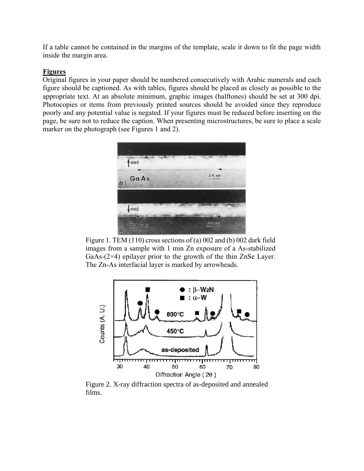If a table cannot be contained in the margins of the template, scale it down to fit the page width inside the margin area.

### **Figures**

Original figures in your paper should be numbered consecutively with Arabic numerals and each figure should be captioned. As with tables, figures should be placed as closely as possible to the appropriate text. At an absolute minimum, graphic images (halftones) should be set at 300 dpi. Photocopies or items from previously printed sources should be avoided since they reproduce poorly and any potential value is negated. If your figures must be reduced before inserting on the page, be sure not to reduce the caption. When presenting microstructures, be sure to place a scale marker on the photograph (see Figures 1 and 2).



Figure 1. TEM (110) cross sections of (a) 002 and (b) 002 dark field images from a sample with 1 min Zn exposure of a As-stabilized GaAs-(2×4) epilayer prior to the growth of the thin ZnSe Layer. The Zn-As interfacial layer is marked by arrowheads.



Figure 2. X-ray diffraction spectra of as-deposited and annealed films.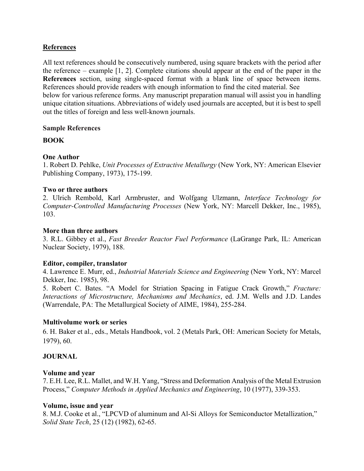### **References**

All text references should be consecutively numbered, using square brackets with the period after the reference – example [1, 2]. Complete citations should appear at the end of the paper in the **References** section, using single-spaced format with a blank line of space between items. References should provide readers with enough information to find the cited material. See below for various reference forms. Any manuscript preparation manual will assist you in handling unique citation situations. Abbreviations of widely used journals are accepted, but it is best to spell out the titles of foreign and less well-known journals.

### **Sample References**

### **BOOK**

### **One Author**

1. Robert D. Pehlke, *Unit Processes of Extractive Metallurgy* (New York, NY: American Elsevier Publishing Company, 1973), 175-199.

### **Two or three authors**

2. Ulrich Rembold, Karl Armbruster, and Wolfgang Ulzmann, *Interface Technology for Computer-Controlled Manufacturing Processes* (New York, NY: Marcell Dekker, Inc., 1985), 103.

### **More than three authors**

3. R.L. Gibbey et al., *Fast Breeder Reactor Fuel Performance* (LaGrange Park, IL: American Nuclear Society, 1979), 188.

### **Editor, compiler, translator**

4. Lawrence E. Murr, ed., *Industrial Materials Science and Engineering* (New York, NY: Marcel Dekker, Inc. 1985), 98.

5. Robert C. Bates. "A Model for Striation Spacing in Fatigue Crack Growth," *Fracture: Interactions of Microstructure, Mechanisms and Mechanics*, ed. J.M. Wells and J.D. Landes (Warrendale, PA: The Metallurgical Society of AIME, 1984), 255-284.

### **Multivolume work or series**

6. H. Baker et al., eds., Metals Handbook, vol. 2 (Metals Park, OH: American Society for Metals, 1979), 60.

### **JOURNAL**

### **Volume and year**

7. E.H. Lee, R.L. Mallet, and W.H. Yang, "Stress and Deformation Analysis of the Metal Extrusion Process," *Computer Methods in Applied Mechanics and Engineering*, 10 (1977), 339-353.

#### **Volume, issue and year**

8. M.J. Cooke et al., "LPCVD of aluminum and Al-Si Alloys for Semiconductor Metallization," *Solid State Tech*, 25 (12) (1982), 62-65.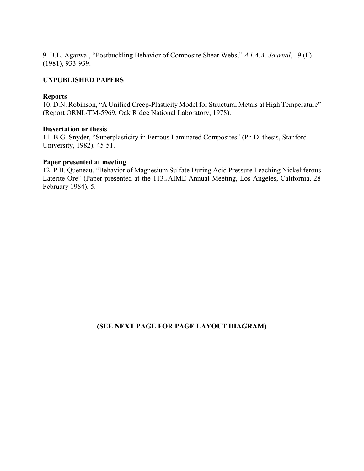9. B.L. Agarwal, "Postbuckling Behavior of Composite Shear Webs," *A.I.A.A. Journal*, 19 (F) (1981), 933-939.

### **UNPUBLISHED PAPERS**

#### **Reports**

10. D.N. Robinson, "A Unified Creep-Plasticity Model for Structural Metals at High Temperature" (Report ORNL/TM-5969, Oak Ridge National Laboratory, 1978).

#### **Dissertation or thesis**

11. B.G. Snyder, "Superplasticity in Ferrous Laminated Composites" (Ph.D. thesis, Stanford University, 1982), 45-51.

#### **Paper presented at meeting**

12. P.B. Queneau, "Behavior of Magnesium Sulfate During Acid Pressure Leaching Nickeliferous Laterite Ore" (Paper presented at the 113th AIME Annual Meeting, Los Angeles, California, 28 February 1984), 5.

### **(SEE NEXT PAGE FOR PAGE LAYOUT DIAGRAM)**